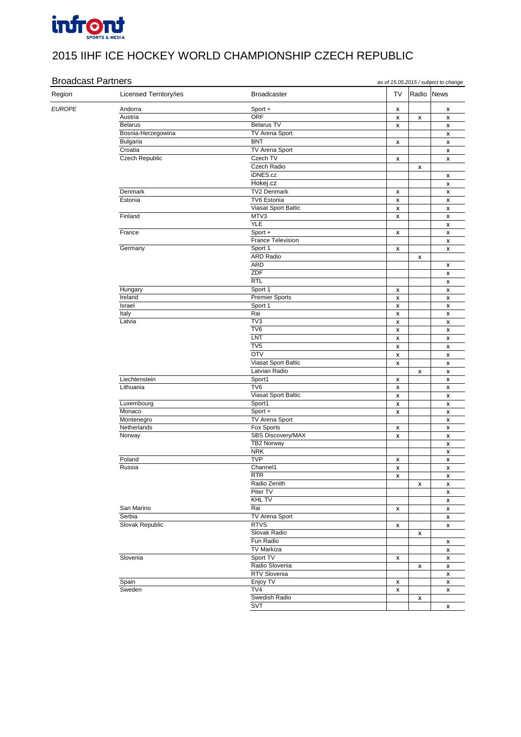

| Region        | <b>Licensed Territory/ies</b> | <b>Broadcaster</b>       | TV                        | Radio News                |                                                        |
|---------------|-------------------------------|--------------------------|---------------------------|---------------------------|--------------------------------------------------------|
|               |                               |                          |                           |                           |                                                        |
| <b>EUROPE</b> | Andorra                       | Sport +                  | X                         |                           | X                                                      |
|               | Austria<br><b>Belarus</b>     | ORF<br><b>Belarus TV</b> | $\pmb{\mathsf{X}}$        | $\pmb{\mathsf{X}}$        | $\pmb{\mathsf{X}}$                                     |
|               | Bosnia-Herzegowina            | TV Arena Sport           | X                         |                           | $\pmb{\mathsf{X}}$<br>$\pmb{\mathsf{X}}$               |
|               | <b>Bulgaria</b>               | <b>BNT</b>               | $\pmb{\mathsf{x}}$        |                           | $\mathsf{x}$                                           |
|               | Croatia                       | TV Arena Sport           |                           |                           | $\boldsymbol{\mathsf{x}}$                              |
|               | Czech Republic                | Czech TV                 | $\pmb{\mathsf{X}}$        |                           | $\boldsymbol{\mathsf{x}}$                              |
|               |                               | <b>Czech Radio</b>       |                           | X                         |                                                        |
|               |                               | iDNES.cz                 |                           |                           | $\pmb{\mathsf{X}}$                                     |
|               |                               | Hokej.cz                 |                           |                           | $\pmb{\mathsf{X}}$                                     |
|               | Denmark                       | TV2 Denmark              | X                         |                           | $\pmb{\mathsf{x}}$                                     |
|               | Estonia                       | <b>TV6 Estonia</b>       | X                         |                           | $\pmb{\mathsf{X}}$                                     |
|               |                               | Viasat Sport Baltic      | X                         |                           | $\pmb{\mathsf{X}}$                                     |
|               | Finland                       | MTV3                     | X                         |                           | X                                                      |
|               |                               | <b>YLE</b>               |                           |                           | X                                                      |
|               | France                        | Sport +                  | X                         |                           | $\pmb{\mathsf{x}}$                                     |
|               |                               | <b>France Television</b> |                           |                           | $\pmb{\mathsf{X}}$                                     |
|               | Germany                       | Sport 1                  | $\pmb{\mathsf{x}}$        |                           | $\pmb{\mathsf{X}}$                                     |
|               |                               | <b>ARD Radio</b>         |                           | $\boldsymbol{\mathsf{x}}$ |                                                        |
|               |                               | <b>ARD</b>               |                           |                           | $\pmb{\mathsf{X}}$                                     |
|               |                               | <b>ZDF</b>               |                           |                           | $\pmb{\mathsf{X}}$                                     |
|               |                               | RTL                      |                           |                           | $\boldsymbol{\mathsf{x}}$                              |
|               | Hungary                       | Sport 1                  | X                         |                           | $\pmb{\mathsf{X}}$                                     |
|               | Ireland                       | <b>Premier Sports</b>    | $\pmb{\mathsf{x}}$        |                           | $\pmb{\mathsf{X}}$                                     |
|               | Israel                        | Sport 1                  | X                         |                           | $\pmb{\mathsf{X}}$                                     |
|               | Italy                         | Rai                      | $\pmb{\mathsf{x}}$        |                           | $\pmb{\mathsf{X}}$                                     |
|               | Latvia                        | TV3                      | $\pmb{\mathsf{x}}$        |                           | $\pmb{\mathsf{X}}$                                     |
|               |                               | TV6                      | X                         |                           | $\boldsymbol{\mathsf{X}}$                              |
|               |                               | LNT                      | X                         |                           | $\pmb{\mathsf{X}}$                                     |
|               |                               | TV <sub>5</sub>          | X                         |                           | $\pmb{\mathsf{X}}$                                     |
|               |                               | $\overline{OTV}$         | X                         |                           | $\boldsymbol{\mathsf{X}}$                              |
|               |                               | Viasat Sport Baltic      | X                         |                           | $\pmb{\mathsf{X}}$                                     |
|               |                               | Latvian Radio            |                           | X                         | $\pmb{\mathsf{X}}$                                     |
|               | Liechtenstein                 | Sport1                   | $\boldsymbol{\mathsf{X}}$ |                           | $\boldsymbol{\mathsf{x}}$                              |
|               | Lithuania                     | TV6                      | $\pmb{\mathsf{x}}$        |                           | $\pmb{\mathsf{X}}$                                     |
|               |                               | Viasat Sport Baltic      | $\pmb{\mathsf{X}}$        |                           | $\boldsymbol{\mathsf{x}}$                              |
|               | Luxembourg                    | Sport1                   | X                         |                           | $\pmb{\mathsf{X}}$                                     |
|               | Monaco                        | Sport +                  | $\pmb{\mathsf{X}}$        |                           | $\boldsymbol{\mathsf{x}}$                              |
|               | Montenegro                    | <b>TV Arena Sport</b>    |                           |                           | $\boldsymbol{\mathsf{x}}$                              |
|               | Netherlands                   | Fox Sports               | X                         |                           | $\pmb{\mathsf{X}}$                                     |
|               | Norway                        | <b>SBS Discovery/MAX</b> | X                         |                           | $\pmb{\mathsf{X}}$                                     |
|               |                               | TB2 Norway<br><b>NRK</b> |                           |                           | $\boldsymbol{\mathsf{x}}$                              |
|               | Poland                        | <b>TVP</b>               | $\pmb{\mathsf{X}}$        |                           | $\boldsymbol{\mathsf{x}}$<br>$\pmb{\mathsf{X}}$        |
|               | Russia                        | Channel1                 | $\pmb{\mathsf{x}}$        |                           | $\pmb{\mathsf{X}}$                                     |
|               |                               | RTR                      | $\pmb{\mathsf{X}}$        |                           | $\pmb{\mathsf{x}}$                                     |
|               |                               | Radio Zenith             |                           | $\pmb{\mathsf{X}}$        | $\pmb{\mathsf{X}}$                                     |
|               |                               | Piter TV                 |                           |                           | $\pmb{\mathsf{X}}$                                     |
|               |                               | <b>KHL TV</b>            |                           |                           | $\pmb{\mathsf{x}}$                                     |
|               | San Marino                    | Rai                      | $\pmb{\mathsf{X}}$        |                           | $\pmb{\mathsf{X}}$                                     |
|               | Serbia                        | TV Arena Sport           |                           |                           | $\pmb{\mathsf{X}}$                                     |
|               | Slovak Republic               | <b>RTVS</b>              | $\pmb{\mathsf{x}}$        |                           | $\boldsymbol{\mathsf{x}}$                              |
|               |                               | Slovak Radio             |                           | X                         |                                                        |
|               |                               | Fun Radio                |                           |                           |                                                        |
|               |                               | <b>TV Markiza</b>        |                           |                           | $\boldsymbol{\mathsf{x}}$<br>$\boldsymbol{\mathsf{x}}$ |
|               | Slovenia                      | Sport TV                 |                           |                           |                                                        |
|               |                               | Radio Slovenia           | $\pmb{\mathsf{X}}$        |                           | $\pmb{\mathsf{X}}$<br>$\pmb{\mathsf{X}}$               |
|               |                               | RTV Slovenia             |                           | X                         | $\boldsymbol{\mathsf{x}}$                              |
|               | Spain                         | Enjoy TV                 | $\boldsymbol{\mathsf{x}}$ |                           | $\boldsymbol{\mathsf{x}}$                              |
|               | Sweden                        | TV4                      | $\pmb{\mathsf{x}}$        |                           | $\mathsf{x}$                                           |
|               |                               | Swedish Radio            |                           | X                         |                                                        |
|               |                               | SVT                      |                           |                           | $\mathsf{x}$                                           |
|               |                               |                          |                           |                           |                                                        |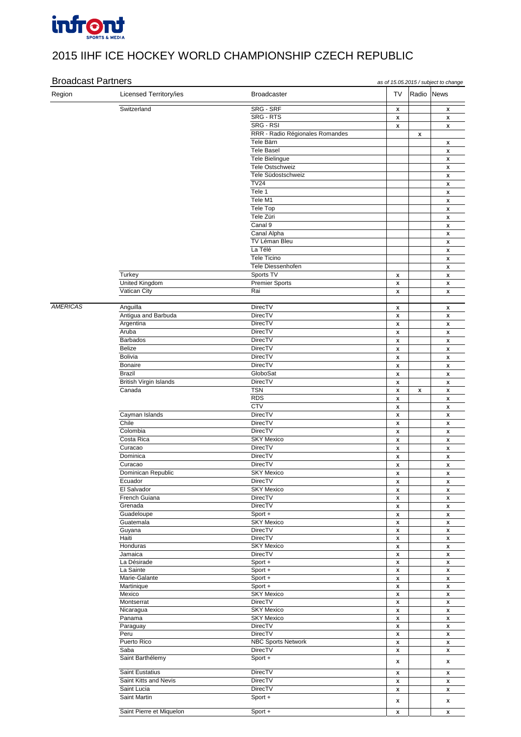

|                 | <b>Broadcast Partners</b>     |                                 |                                          | as of 15.05.2015 / subject to change |                              |  |
|-----------------|-------------------------------|---------------------------------|------------------------------------------|--------------------------------------|------------------------------|--|
| Region          | <b>Licensed Territory/ies</b> | <b>Broadcaster</b>              | <b>TV</b>                                | Radio News                           |                              |  |
|                 | Switzerland                   | SRG - SRF                       | $\pmb{\mathsf{X}}$                       |                                      | $\boldsymbol{\mathsf{x}}$    |  |
|                 |                               | SRG - RTS                       | $\boldsymbol{\mathsf{x}}$                |                                      | $\boldsymbol{\mathsf{x}}$    |  |
|                 |                               | SRG - RSI                       | $\boldsymbol{\mathsf{x}}$                |                                      | $\boldsymbol{\mathsf{x}}$    |  |
|                 |                               | RRR - Radio Régionales Romandes |                                          | $\boldsymbol{\mathsf{x}}$            |                              |  |
|                 |                               | Tele Bärn                       |                                          |                                      | $\boldsymbol{\mathsf{x}}$    |  |
|                 |                               | <b>Tele Basel</b>               |                                          |                                      | $\boldsymbol{\mathsf{x}}$    |  |
|                 |                               | <b>Tele Bielingue</b>           |                                          |                                      | $\pmb{\chi}$                 |  |
|                 |                               | Tele Ostschweiz                 |                                          |                                      | $\boldsymbol{\mathsf{x}}$    |  |
|                 |                               | Tele Südostschweiz              |                                          |                                      | $\boldsymbol{\mathsf{x}}$    |  |
|                 |                               | <b>TV24</b>                     |                                          |                                      | X                            |  |
|                 |                               | Tele 1                          |                                          |                                      | X                            |  |
|                 |                               | Tele M1                         |                                          |                                      | $\pmb{\mathsf{X}}$           |  |
|                 |                               | Tele Top                        |                                          |                                      | $\pmb{\chi}$                 |  |
|                 |                               | Tele Züri                       |                                          |                                      | $\pmb{\chi}$                 |  |
|                 |                               | Canal 9                         |                                          |                                      | $\boldsymbol{\mathsf{x}}$    |  |
|                 |                               | Canal Alpha                     |                                          |                                      | $\boldsymbol{\mathsf{x}}$    |  |
|                 |                               | TV Léman Bleu                   |                                          |                                      | $\boldsymbol{\mathsf{x}}$    |  |
|                 |                               | La Télé                         |                                          |                                      | $\boldsymbol{\mathsf{x}}$    |  |
|                 |                               | Tele Ticino                     |                                          |                                      | $\boldsymbol{\mathsf{x}}$    |  |
|                 |                               | Tele Diessenhofen               |                                          |                                      | $\pmb{\chi}$                 |  |
|                 | Turkey                        | Sports TV                       | $\boldsymbol{\mathsf{x}}$                |                                      | $\boldsymbol{\mathsf{x}}$    |  |
|                 | <b>United Kingdom</b>         | <b>Premier Sports</b>           | $\pmb{\mathsf{X}}$                       |                                      | $\pmb{\chi}$                 |  |
|                 | Vatican City                  | Rai                             | X                                        |                                      | $\pmb{\chi}$                 |  |
| <b>AMERICAS</b> | Anguilla                      | DirecTV                         | $\boldsymbol{\mathsf{x}}$                |                                      | X                            |  |
|                 | Antigua and Barbuda           | DirecTV                         | X                                        |                                      | X                            |  |
|                 | Argentina                     | DirecTV                         | X                                        |                                      | X                            |  |
|                 | Aruba                         | DirecTV                         | $\pmb{\mathsf{x}}$                       |                                      | $\boldsymbol{\mathsf{X}}$    |  |
|                 | <b>Barbados</b>               | DirecTV                         | X                                        |                                      | $\pmb{\chi}$                 |  |
|                 | <b>Belize</b>                 | DirecTV                         | $\boldsymbol{\mathsf{x}}$                |                                      | $\boldsymbol{\mathsf{x}}$    |  |
|                 | Bolivia                       | DirecTV                         | $\boldsymbol{\mathsf{x}}$                |                                      | $\boldsymbol{\mathsf{x}}$    |  |
|                 | <b>Bonaire</b>                | DirecTV                         | X                                        |                                      | $\pmb{\mathsf{X}}$           |  |
|                 | <b>Brazil</b>                 | GloboSat                        | X                                        |                                      | $\pmb{\chi}$                 |  |
|                 | British Virgin Islands        | DirecTV                         | $\boldsymbol{\mathsf{x}}$                |                                      | $\boldsymbol{\mathsf{x}}$    |  |
|                 | Canada                        | <b>TSN</b>                      | $\pmb{\mathsf{X}}$                       | $\pmb{\mathsf{X}}$                   | X                            |  |
|                 |                               | <b>RDS</b>                      | $\pmb{\mathsf{X}}$                       |                                      | $\boldsymbol{\mathsf{x}}$    |  |
|                 |                               | <b>CTV</b>                      | $\pmb{\mathsf{X}}$                       |                                      | $\pmb{\chi}$                 |  |
|                 | Cayman Islands                | DirecTV                         | $\boldsymbol{\mathsf{x}}$                |                                      | $\pmb{\chi}$                 |  |
|                 | Chile                         | DirecTV                         | $\pmb{\mathsf{X}}$                       |                                      | $\pmb{\mathsf{X}}$           |  |
|                 | Colombia                      | DirecTV                         | $\pmb{\mathsf{X}}$                       |                                      | $\pmb{\chi}$                 |  |
|                 | Costa Rica                    | <b>SKY Mexico</b>               | $\pmb{\mathsf{X}}$                       |                                      | $\boldsymbol{\mathsf{x}}$    |  |
|                 | Curacao                       | DirecTV                         | $\pmb{\mathsf{X}}$                       |                                      | $\pmb{\chi}$                 |  |
|                 | Dominica                      | DirecTV                         | $\pmb{\mathsf{x}}$                       |                                      | $\pmb{\chi}$                 |  |
|                 | Curacao                       | DirecTV                         | $\pmb{\mathsf{X}}$                       |                                      | $\mathsf{x}$                 |  |
|                 | Dominican Republic            | <b>SKY Mexico</b>               | $\pmb{\mathsf{x}}$                       |                                      | $\boldsymbol{\mathsf{x}}$    |  |
|                 | Ecuador                       | DirecTV                         |                                          |                                      |                              |  |
|                 | El Salvador                   | <b>SKY Mexico</b>               | $\pmb{\mathsf{X}}$                       |                                      | $\pmb{\chi}$                 |  |
|                 |                               |                                 | $\boldsymbol{\mathsf{x}}$                |                                      | $\boldsymbol{\mathsf{x}}$    |  |
|                 | French Guiana                 | DirecTV                         | $\pmb{\mathsf{X}}$                       |                                      | $\boldsymbol{\mathsf{x}}$    |  |
|                 | Grenada                       | DirecTV                         | $\pmb{\mathsf{X}}$                       |                                      | $\pmb{\chi}$                 |  |
|                 | Guadeloupe                    | Sport +                         | $\pmb{\mathsf{x}}$                       |                                      | $\pmb{\chi}$                 |  |
|                 | Guatemala                     | <b>SKY Mexico</b><br>DirecTV    | $\pmb{\mathsf{x}}$                       |                                      | $\pmb{\chi}$                 |  |
|                 | Guyana<br>Haiti               | DirecTV                         | $\pmb{\mathsf{X}}$                       |                                      | $\pmb{\chi}$                 |  |
|                 | Honduras                      | <b>SKY Mexico</b>               | $\pmb{\mathsf{X}}$                       |                                      | $\pmb{\chi}$                 |  |
|                 | Jamaica                       | DirecTV                         | $\pmb{\mathsf{X}}$                       |                                      | $\pmb{\chi}$                 |  |
|                 | La Désirade                   |                                 | $\pmb{\mathsf{X}}$                       |                                      | $\pmb{\chi}$                 |  |
|                 | La Sainte                     | Sport +<br>Sport +              | $\pmb{\mathsf{X}}$                       |                                      | $\pmb{\chi}$                 |  |
|                 | Marie-Galante                 |                                 | $\pmb{\mathsf{X}}$                       |                                      | $\pmb{\chi}$                 |  |
|                 | Martinique                    | Sport +<br>Sport +              | $\pmb{\mathsf{X}}$                       |                                      | $\pmb{\chi}$                 |  |
|                 | Mexico                        | <b>SKY Mexico</b>               | $\pmb{\mathsf{x}}$                       |                                      | $\pmb{\chi}$                 |  |
|                 | Montserrat                    | <b>DirecTV</b>                  | $\pmb{\mathsf{X}}$                       |                                      | $\pmb{\chi}$                 |  |
|                 | Nicaragua                     | <b>SKY Mexico</b>               | $\pmb{\mathsf{X}}$                       |                                      | $\pmb{\chi}$                 |  |
|                 | Panama                        | <b>SKY Mexico</b>               | $\pmb{\mathsf{X}}$<br>$\pmb{\mathsf{X}}$ |                                      | $\pmb{\chi}$<br>$\pmb{\chi}$ |  |
|                 | Paraguay                      | <b>DirecTV</b>                  | $\pmb{\mathsf{x}}$                       |                                      | $\pmb{\chi}$                 |  |
|                 | Peru                          | DirecTV                         | $\pmb{\mathsf{X}}$                       |                                      | $\pmb{\chi}$                 |  |
|                 | Puerto Rico                   | <b>NBC Sports Network</b>       | $\pmb{\mathsf{x}}$                       |                                      | $\pmb{\chi}$                 |  |
|                 | Saba                          | DirecTV                         | $\boldsymbol{\mathsf{x}}$                |                                      | $\boldsymbol{\mathsf{x}}$    |  |
|                 | Saint Barthélemy              | Sport +                         | $\boldsymbol{\mathsf{x}}$                |                                      | $\boldsymbol{\mathsf{x}}$    |  |
|                 | Saint Eustatius               | DirecTV                         | X                                        |                                      | X                            |  |
|                 | Saint Kitts and Nevis         | DirecTV                         | $\boldsymbol{\mathsf{x}}$                |                                      | X                            |  |
|                 | Saint Lucia                   | DirecTV                         | $\pmb{\mathsf{x}}$                       |                                      | $\pmb{\mathsf{X}}$           |  |
|                 | Saint Martin                  | Sport +                         |                                          |                                      |                              |  |
|                 |                               |                                 | X                                        |                                      | $\pmb{\mathsf{X}}$           |  |
|                 | Saint Pierre et Miquelon      | Sport +                         | $\pmb{\mathsf{x}}$                       |                                      | $\pmb{\mathsf{X}}$           |  |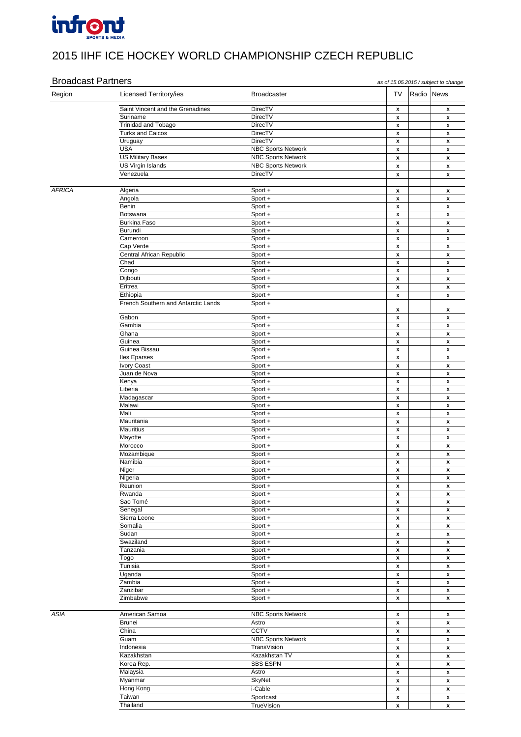

| <b>Broadcast Partners</b><br>as of 15.05.2015 / subject to change |                                     |                           |                                          |            |                                          |
|-------------------------------------------------------------------|-------------------------------------|---------------------------|------------------------------------------|------------|------------------------------------------|
| Region                                                            | <b>Licensed Territory/ies</b>       | <b>Broadcaster</b>        | TV                                       | Radio News |                                          |
|                                                                   | Saint Vincent and the Grenadines    | DirecTV                   | X                                        |            | x                                        |
|                                                                   | Suriname                            | DirecTV                   | $\pmb{\mathsf{x}}$                       |            | X                                        |
|                                                                   | Trinidad and Tobago                 | DirecTV                   | $\pmb{\mathsf{x}}$                       |            | X                                        |
|                                                                   | <b>Turks and Caicos</b>             | DirecTV                   | $\pmb{\mathsf{x}}$                       |            | $\pmb{\mathsf{X}}$                       |
|                                                                   | Uruguay                             | DirecTV                   | $\pmb{\mathsf{x}}$                       |            | $\pmb{\mathsf{X}}$                       |
|                                                                   | <b>USA</b>                          | <b>NBC Sports Network</b> | $\pmb{\mathsf{x}}$                       |            | X                                        |
|                                                                   | <b>US Military Bases</b>            | <b>NBC Sports Network</b> | X                                        |            | X                                        |
|                                                                   | US Virgin Islands                   | <b>NBC Sports Network</b> | $\pmb{\mathsf{x}}$                       |            | X                                        |
|                                                                   | Venezuela                           | DirecTV                   | X                                        |            | $\pmb{\mathsf{X}}$                       |
| <b>AFRICA</b>                                                     | Algeria                             | Sport +                   | X                                        |            | x                                        |
|                                                                   | Angola                              | $Sport +$                 | $\pmb{\mathsf{x}}$                       |            | $\mathsf{x}$                             |
|                                                                   | Benin                               | Sport +                   | $\pmb{\mathsf{x}}$                       |            | $\pmb{\mathsf{X}}$                       |
|                                                                   | Botswana                            | Sport +                   | $\pmb{\mathsf{x}}$                       |            | $\pmb{\mathsf{X}}$                       |
|                                                                   | <b>Burkina Faso</b>                 | Sport +                   | $\pmb{\mathsf{x}}$                       |            | $\pmb{\mathsf{X}}$                       |
|                                                                   | Burundi                             | Sport +                   | $\pmb{\mathsf{x}}$                       |            | $\mathsf{x}$                             |
|                                                                   | Cameroon                            | Sport +                   | $\pmb{\mathsf{x}}$                       |            | $\mathsf{x}$                             |
|                                                                   | Cap Verde                           | Sport +                   | $\pmb{\mathsf{x}}$                       |            | X                                        |
|                                                                   | Central African Republic            | Sport +                   | $\pmb{\mathsf{x}}$                       |            | X                                        |
|                                                                   | Chad                                | Sport +                   | $\pmb{\mathsf{x}}$                       |            | X                                        |
|                                                                   | Congo                               | Sport +                   | $\pmb{\mathsf{x}}$                       |            | X                                        |
|                                                                   | Dijbouti                            | Sport +                   | $\pmb{\mathsf{x}}$                       |            | X                                        |
|                                                                   | Eritrea                             | Sport +                   | $\boldsymbol{\mathsf{x}}$                |            | $\mathsf{x}$                             |
|                                                                   | Ethiopia                            | Sport $+$                 | X                                        |            | X                                        |
|                                                                   | French Southern and Antarctic Lands | Sport +                   |                                          |            |                                          |
|                                                                   | Gabon                               | Sport +                   | X<br>$\pmb{\mathsf{x}}$                  |            | X<br>$\pmb{\mathsf{X}}$                  |
|                                                                   | Gambia                              | Sport +                   | $\pmb{\mathsf{x}}$                       |            | $\pmb{\mathsf{X}}$                       |
|                                                                   | Ghana                               | Sport +                   | $\pmb{\mathsf{x}}$                       |            | $\pmb{\mathsf{X}}$                       |
|                                                                   | Guinea                              | Sport +                   | $\pmb{\mathsf{x}}$                       |            | X                                        |
|                                                                   | Guinea Bissau                       | Sport +                   | $\pmb{\mathsf{x}}$                       |            | X                                        |
|                                                                   | <b>Iles Eparses</b>                 | Sport +                   | $\pmb{\mathsf{x}}$                       |            | X                                        |
|                                                                   | Ivory Coast                         | Sport +                   | $\pmb{\mathsf{x}}$                       |            | $\pmb{\mathsf{x}}$                       |
|                                                                   | Juan de Nova                        | Sport +                   | X                                        |            | X                                        |
|                                                                   | Kenya                               | Sport +                   | $\pmb{\mathsf{x}}$                       |            | $\pmb{\mathsf{X}}$                       |
|                                                                   | Liberia                             | Sport +                   | $\pmb{\mathsf{x}}$                       |            | $\pmb{\mathsf{X}}$                       |
|                                                                   | Madagascar                          | Sport +                   | $\pmb{\mathsf{x}}$                       |            | $\pmb{\mathsf{X}}$                       |
|                                                                   | Malawi                              | Sport +                   | $\pmb{\mathsf{x}}$                       |            | $\pmb{\mathsf{X}}$                       |
|                                                                   | Mali                                | Sport +                   | $\pmb{\mathsf{x}}$                       |            | $\pmb{\mathsf{X}}$                       |
|                                                                   | Mauritania                          | Sport +                   | $\pmb{\mathsf{x}}$                       |            | $\pmb{\mathsf{X}}$                       |
|                                                                   | <b>Mauritius</b>                    | Sport +                   | $\pmb{\mathsf{x}}$                       |            | $\pmb{\mathsf{X}}$                       |
|                                                                   | Mayotte                             | Sport +                   | $\pmb{\mathsf{x}}$                       |            | $\pmb{\mathsf{X}}$                       |
|                                                                   | Morocco                             | Sport +                   | X                                        |            | $\pmb{\mathsf{X}}$                       |
|                                                                   | Mozambique                          | Sport +                   | $\pmb{\mathsf{x}}$                       |            | $\pmb{\mathsf{x}}$                       |
|                                                                   | Namibia<br>Niger                    | Sport +<br>Sport +        | $\pmb{\mathsf{x}}$                       |            | $\pmb{\mathsf{x}}$<br>$\pmb{\mathsf{x}}$ |
|                                                                   | Nigeria                             | Sport +                   | $\pmb{\mathsf{x}}$<br>$\pmb{\mathsf{x}}$ |            | $\pmb{\mathsf{x}}$                       |
|                                                                   | Reunion                             | Sport +                   | $\pmb{\mathsf{x}}$                       |            | $\pmb{\mathsf{X}}$                       |
|                                                                   | Rwanda                              | Sport +                   | $\pmb{\mathsf{x}}$                       |            | $\pmb{\mathsf{X}}$                       |
|                                                                   | Sao Tomé                            | Sport +                   | $\pmb{\mathsf{x}}$                       |            | $\pmb{\mathsf{x}}$                       |
|                                                                   | Senegal                             | Sport +                   | $\pmb{\mathsf{x}}$                       |            | $\pmb{\mathsf{x}}$                       |
|                                                                   | Sierra Leone                        | Sport +                   | $\pmb{\mathsf{x}}$                       |            | $\pmb{\mathsf{x}}$                       |
|                                                                   | Somalia                             | Sport +                   | $\pmb{\mathsf{x}}$                       |            | $\pmb{\mathsf{X}}$                       |
|                                                                   | Sudan                               | Sport +                   | $\pmb{\mathsf{x}}$                       |            | $\pmb{\mathsf{X}}$                       |
|                                                                   | Swaziland                           | Sport +                   | $\pmb{\mathsf{x}}$                       |            | $\pmb{\mathsf{X}}$                       |
|                                                                   | Tanzania                            | Sport +                   | $\pmb{\mathsf{x}}$                       |            | $\pmb{\mathsf{X}}$                       |
|                                                                   | Togo                                | Sport +                   | $\pmb{\mathsf{x}}$                       |            | $\pmb{\mathsf{X}}$                       |
|                                                                   | Tunisia                             | Sport +                   | $\pmb{\mathsf{x}}$                       |            | $\pmb{\mathsf{X}}$                       |
|                                                                   | Uganda                              | Sport +                   | $\pmb{\mathsf{x}}$                       |            | $\pmb{\mathsf{X}}$                       |
|                                                                   | Zambia                              | Sport +                   | $\pmb{\mathsf{x}}$                       |            | $\pmb{\mathsf{X}}$                       |
|                                                                   | Zanzibar                            | Sport +                   | $\pmb{\mathsf{x}}$                       |            | $\pmb{\mathsf{X}}$                       |
|                                                                   | Zimbabwe                            | Sport +                   | $\pmb{\mathsf{x}}$                       |            | $\mathsf{x}$                             |
| <b>ASIA</b>                                                       | American Samoa                      | <b>NBC Sports Network</b> |                                          |            |                                          |
|                                                                   | <b>Brunei</b>                       | Astro                     | X                                        |            | X                                        |
|                                                                   | China                               | <b>CCTV</b>               | $\pmb{\mathsf{x}}$                       |            | $\pmb{\mathsf{X}}$<br>$\pmb{\mathsf{x}}$ |
|                                                                   | Guam                                | <b>NBC Sports Network</b> | $\pmb{\mathsf{x}}$                       |            |                                          |
|                                                                   | Indonesia                           | TransVision               | $\pmb{\mathsf{x}}$<br>$\pmb{\mathsf{x}}$ |            | $\pmb{\mathsf{X}}$<br>$\pmb{\mathsf{x}}$ |
|                                                                   | Kazakhstan                          | Kazakhstan TV             | $\pmb{\mathsf{x}}$                       |            | $\pmb{\mathsf{X}}$                       |
|                                                                   | Korea Rep.                          | <b>SBS ESPN</b>           | $\pmb{\mathsf{x}}$                       |            | $\pmb{\mathsf{X}}$                       |
|                                                                   | Malaysia                            | Astro                     | $\pmb{\mathsf{x}}$                       |            | X                                        |
|                                                                   | Myanmar                             | SkyNet                    | $\pmb{\mathsf{X}}$                       |            | $\pmb{\mathsf{x}}$                       |
|                                                                   | Hong Kong                           | i-Cable                   | $\pmb{\mathsf{x}}$                       |            | $\pmb{\mathsf{x}}$                       |
|                                                                   | Taiwan                              | Sportcast                 | $\pmb{\mathsf{x}}$                       |            | $\pmb{\mathsf{x}}$                       |
|                                                                   | Thailand                            | TrueVision                | $\pmb{\mathsf{x}}$                       |            | $\pmb{\mathsf{x}}$                       |
|                                                                   |                                     |                           |                                          |            |                                          |